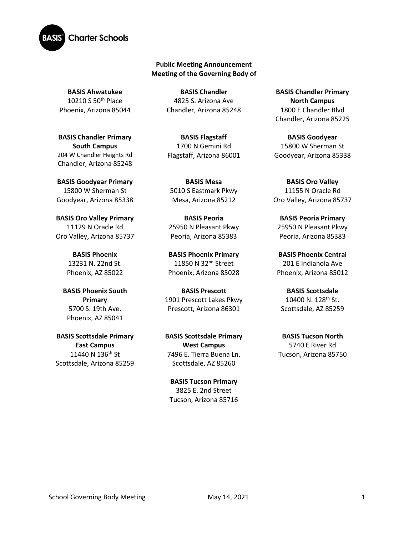

### **Public Meeting Announcement Meeting of the Governing Body of**

**BASIS Ahwatukee** 10210 S 50th Place Phoenix, Arizona 85044

**BASIS Chandler Primary South Campus**  204 W Chandler Heights Rd Chandler, Arizona 85248

**BASIS Goodyear Primary** 15800 W Sherman St Goodyear, Arizona 85338

**BASIS Oro Valley Primary**  11129 N Oracle Rd Oro Valley, Arizona 85737

> **BASIS Phoenix** 13231 N. 22nd St. Phoenix, AZ 85022

**BASIS Phoenix South Primary** 5700 S. 19th Ave. Phoenix, AZ 85041

**BASIS Scottsdale Primary East Campus** 11440 N 136<sup>th</sup> St Scottsdale, Arizona 85259

**BASIS Chandler** 4825 S. Arizona Ave Chandler, Arizona 85248

**BASIS Flagstaff** 1700 N Gemini Rd Flagstaff, Arizona 86001

**BASIS Mesa**  5010 S Eastmark Pkwy Mesa, Arizona 85212

**BASIS Peoria** 25950 N Pleasant Pkwy Peoria, Arizona 85383

**BASIS Phoenix Primary** 11850 N 32<sup>nd</sup> Street Phoenix, Arizona 85028

**BASIS Prescott** 1901 Prescott Lakes Pkwy Prescott, Arizona 86301

**BASIS Scottsdale Primary West Campus** 7496 E. Tierra Buena Ln. Scottsdale, AZ 85260

**BASIS Tucson Primary** 3825 E. 2nd Street Tucson, Arizona 85716

**BASIS Chandler Primary North Campus** 1800 E Chandler Blvd Chandler, Arizona 85225

**BASIS Goodyear** 15800 W Sherman St Goodyear, Arizona 85338

**BASIS Oro Valley** 11155 N Oracle Rd Oro Valley, Arizona 85737

**BASIS Peoria Primary**  25950 N Pleasant Pkwy Peoria, Arizona 85383

**BASIS Phoenix Central** 201 E Indianola Ave Phoenix, Arizona 85012

**BASIS Scottsdale** 10400 N. 128th St. Scottsdale, AZ 85259

**BASIS Tucson North** 5740 E River Rd Tucson, Arizona 85750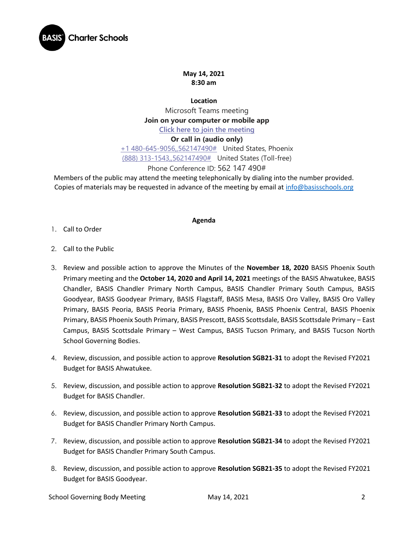

## **May 14, 2021 8:30 am**

**Location** Microsoft Teams meeting **Join on your computer or mobile app [Click here to join the meeting](https://teams.microsoft.com/l/meetup-join/19%3ameeting_Y2E4ZWFiZTktOWNlOC00NGYyLThiY2ItOGZhNWQzM2RiYjdi%40thread.v2/0?context=%7b%22Tid%22%3a%22e5f3479c-502f-4e92-b060-0c0c560d6271%22%2c%22Oid%22%3a%22575e4f74-824e-48e9-9805-77af91568d41%22%7d)**

### **Or call in (audio only)**

[+1 480-645-9056,,562147490#](tel:+14806459056,,562147490# ) United States, Phoenix [\(888\) 313-1543,,562147490#](tel:8883131543,,562147490# ) United States (Toll-free)

## Phone Conference ID: 562 147 490#

Members of the public may attend the meeting telephonically by dialing into the number provided. Copies of materials may be requested in advance of the meeting by email at [info@basisschools.org](mailto:info@basisschools.org)

#### **Agenda**

- 1. Call to Order
- 2. Call to the Public
- 3. Review and possible action to approve the Minutes of the **November 18, 2020** BASIS Phoenix South Primary meeting and the **October 14, 2020 and April 14, 2021** meetings of the BASIS Ahwatukee, BASIS Chandler, BASIS Chandler Primary North Campus, BASIS Chandler Primary South Campus, BASIS Goodyear, BASIS Goodyear Primary, BASIS Flagstaff, BASIS Mesa, BASIS Oro Valley, BASIS Oro Valley Primary, BASIS Peoria, BASIS Peoria Primary, BASIS Phoenix, BASIS Phoenix Central, BASIS Phoenix Primary, BASIS Phoenix South Primary, BASIS Prescott, BASIS Scottsdale, BASIS Scottsdale Primary – East Campus, BASIS Scottsdale Primary – West Campus, BASIS Tucson Primary, and BASIS Tucson North School Governing Bodies.
- 4. Review, discussion, and possible action to approve **Resolution SGB21-31** to adopt the Revised FY2021 Budget for BASIS Ahwatukee.
- 5. Review, discussion, and possible action to approve **Resolution SGB21-32** to adopt the Revised FY2021 Budget for BASIS Chandler.
- 6. Review, discussion, and possible action to approve **Resolution SGB21-33** to adopt the Revised FY2021 Budget for BASIS Chandler Primary North Campus.
- 7. Review, discussion, and possible action to approve **Resolution SGB21-34** to adopt the Revised FY2021 Budget for BASIS Chandler Primary South Campus.
- 8. Review, discussion, and possible action to approve **Resolution SGB21-35** to adopt the Revised FY2021 Budget for BASIS Goodyear.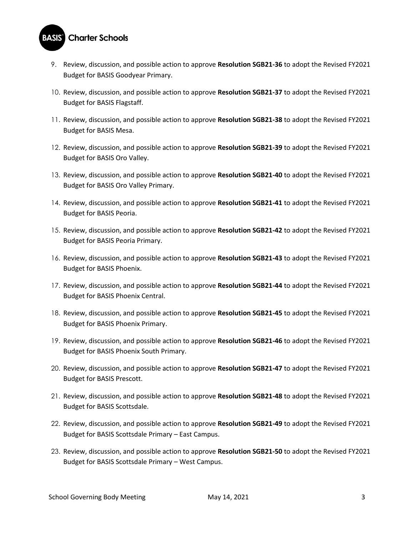# **BASIS** Charter Schools

- 9. Review, discussion, and possible action to approve **Resolution SGB21-36** to adopt the Revised FY2021 Budget for BASIS Goodyear Primary.
- 10. Review, discussion, and possible action to approve **Resolution SGB21-37** to adopt the Revised FY2021 Budget for BASIS Flagstaff.
- 11. Review, discussion, and possible action to approve **Resolution SGB21-38** to adopt the Revised FY2021 Budget for BASIS Mesa.
- 12. Review, discussion, and possible action to approve **Resolution SGB21-39** to adopt the Revised FY2021 Budget for BASIS Oro Valley.
- 13. Review, discussion, and possible action to approve **Resolution SGB21-40** to adopt the Revised FY2021 Budget for BASIS Oro Valley Primary.
- 14. Review, discussion, and possible action to approve **Resolution SGB21-41** to adopt the Revised FY2021 Budget for BASIS Peoria.
- 15. Review, discussion, and possible action to approve **Resolution SGB21-42** to adopt the Revised FY2021 Budget for BASIS Peoria Primary.
- 16. Review, discussion, and possible action to approve **Resolution SGB21-43** to adopt the Revised FY2021 Budget for BASIS Phoenix.
- 17. Review, discussion, and possible action to approve **Resolution SGB21-44** to adopt the Revised FY2021 Budget for BASIS Phoenix Central.
- 18. Review, discussion, and possible action to approve **Resolution SGB21-45** to adopt the Revised FY2021 Budget for BASIS Phoenix Primary.
- 19. Review, discussion, and possible action to approve **Resolution SGB21-46** to adopt the Revised FY2021 Budget for BASIS Phoenix South Primary.
- 20. Review, discussion, and possible action to approve **Resolution SGB21-47** to adopt the Revised FY2021 Budget for BASIS Prescott.
- 21. Review, discussion, and possible action to approve **Resolution SGB21-48** to adopt the Revised FY2021 Budget for BASIS Scottsdale.
- 22. Review, discussion, and possible action to approve **Resolution SGB21-49** to adopt the Revised FY2021 Budget for BASIS Scottsdale Primary – East Campus.
- 23. Review, discussion, and possible action to approve **Resolution SGB21-50** to adopt the Revised FY2021 Budget for BASIS Scottsdale Primary – West Campus.